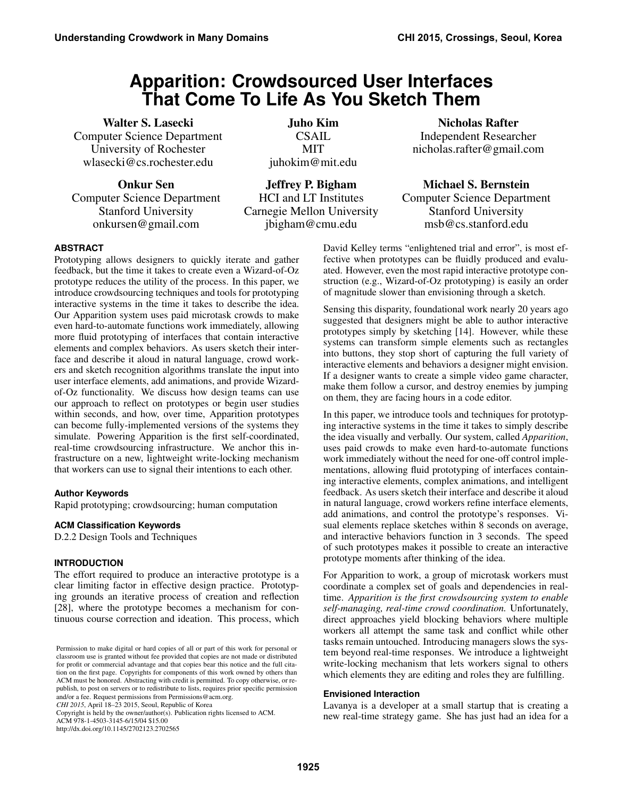# **Apparition: Crowdsourced User Interfaces That Come To Life As You Sketch Them**

Walter S. Lasecki Computer Science Department University of Rochester wlasecki@cs.rochester.edu

Onkur Sen Computer Science Department Stanford University onkursen@gmail.com

Juho Kim **CSAIL** MIT juhokim@mit.edu

Jeffrey P. Bigham HCI and LT Institutes Carnegie Mellon University jbigham@cmu.edu

Nicholas Rafter Independent Researcher nicholas.rafter@gmail.com

Michael S. Bernstein Computer Science Department Stanford University msb@cs.stanford.edu

# **ABSTRACT**

Prototyping allows designers to quickly iterate and gather feedback, but the time it takes to create even a Wizard-of-Oz prototype reduces the utility of the process. In this paper, we introduce crowdsourcing techniques and tools for prototyping interactive systems in the time it takes to describe the idea. Our Apparition system uses paid microtask crowds to make even hard-to-automate functions work immediately, allowing more fluid prototyping of interfaces that contain interactive elements and complex behaviors. As users sketch their interface and describe it aloud in natural language, crowd workers and sketch recognition algorithms translate the input into user interface elements, add animations, and provide Wizardof-Oz functionality. We discuss how design teams can use our approach to reflect on prototypes or begin user studies within seconds, and how, over time, Apparition prototypes can become fully-implemented versions of the systems they simulate. Powering Apparition is the first self-coordinated, real-time crowdsourcing infrastructure. We anchor this infrastructure on a new, lightweight write-locking mechanism that workers can use to signal their intentions to each other.

# **Author Keywords**

Rapid prototyping; crowdsourcing; human computation

# **ACM Classification Keywords**

D.2.2 Design Tools and Techniques

#### **INTRODUCTION**

The effort required to produce an interactive prototype is a clear limiting factor in effective design practice. Prototyping grounds an iterative process of creation and reflection [\[28\]](#page-9-0), where the prototype becomes a mechanism for continuous course correction and ideation. This process, which

*CHI 2015*, April 18–23 2015, Seoul, Republic of Korea

Copyright is held by the owner/author(s). Publication rights licensed to ACM. ACM 978-1-4503-3145-6/15/04 \$15.00

http://dx.doi.org/10.1145/2702123.2702565

David Kelley terms "enlightened trial and error", is most effective when prototypes can be fluidly produced and evaluated. However, even the most rapid interactive prototype construction (e.g., Wizard-of-Oz prototyping) is easily an order of magnitude slower than envisioning through a sketch.

Sensing this disparity, foundational work nearly 20 years ago suggested that designers might be able to author interactive prototypes simply by sketching [\[14\]](#page-9-1). However, while these systems can transform simple elements such as rectangles into buttons, they stop short of capturing the full variety of interactive elements and behaviors a designer might envision. If a designer wants to create a simple video game character, make them follow a cursor, and destroy enemies by jumping on them, they are facing hours in a code editor.

In this paper, we introduce tools and techniques for prototyping interactive systems in the time it takes to simply describe the idea visually and verbally. Our system, called *Apparition*, uses paid crowds to make even hard-to-automate functions work immediately without the need for one-off control implementations, allowing fluid prototyping of interfaces containing interactive elements, complex animations, and intelligent feedback. As users sketch their interface and describe it aloud in natural language, crowd workers refine interface elements, add animations, and control the prototype's responses. Visual elements replace sketches within 8 seconds on average, and interactive behaviors function in 3 seconds. The speed of such prototypes makes it possible to create an interactive prototype moments after thinking of the idea.

For Apparition to work, a group of microtask workers must coordinate a complex set of goals and dependencies in realtime. *Apparition is the first crowdsourcing system to enable self-managing, real-time crowd coordination.* Unfortunately, direct approaches yield blocking behaviors where multiple workers all attempt the same task and conflict while other tasks remain untouched. Introducing managers slows the system beyond real-time responses. We introduce a lightweight write-locking mechanism that lets workers signal to others which elements they are editing and roles they are fulfilling.

#### **Envisioned Interaction**

Lavanya is a developer at a small startup that is creating a new real-time strategy game. She has just had an idea for a

Permission to make digital or hard copies of all or part of this work for personal or classroom use is granted without fee provided that copies are not made or distributed for profit or commercial advantage and that copies bear this notice and the full citation on the first page. Copyrights for components of this work owned by others than ACM must be honored. Abstracting with credit is permitted. To copy otherwise, or republish, to post on servers or to redistribute to lists, requires prior specific permission and/or a fee. Request permissions from Permissions@acm.org.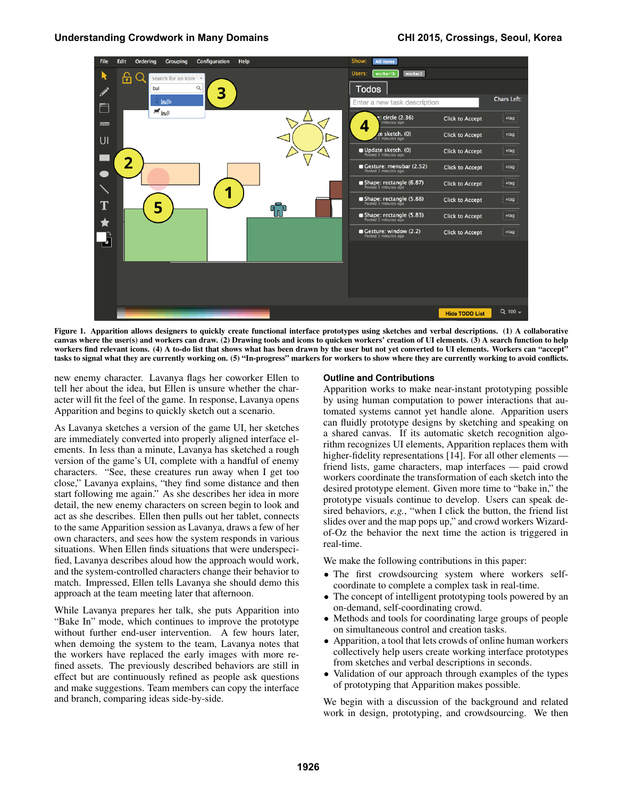

<span id="page-1-0"></span>Figure 1. Apparition allows designers to quickly create functional interface prototypes using sketches and verbal descriptions. (1) A collaborative canvas where the user(s) and workers can draw. (2) Drawing tools and icons to quicken workers' creation of UI elements. (3) A search function to help workers find relevant icons. (4) A to-do list that shows what has been drawn by the user but not yet converted to UI elements. Workers can "accept" tasks to signal what they are currently working on. (5) "In-progress" markers for workers to show where they are currently working to avoid conflicts.

new enemy character. Lavanya flags her coworker Ellen to tell her about the idea, but Ellen is unsure whether the character will fit the feel of the game. In response, Lavanya opens Apparition and begins to quickly sketch out a scenario.

As Lavanya sketches a version of the game UI, her sketches are immediately converted into properly aligned interface elements. In less than a minute, Lavanya has sketched a rough version of the game's UI, complete with a handful of enemy characters. "See, these creatures run away when I get too close," Lavanya explains, "they find some distance and then start following me again." As she describes her idea in more detail, the new enemy characters on screen begin to look and act as she describes. Ellen then pulls out her tablet, connects to the same Apparition session as Lavanya, draws a few of her own characters, and sees how the system responds in various situations. When Ellen finds situations that were underspecified, Lavanya describes aloud how the approach would work, and the system-controlled characters change their behavior to match. Impressed, Ellen tells Lavanya she should demo this approach at the team meeting later that afternoon.

While Lavanya prepares her talk, she puts Apparition into "Bake In" mode, which continues to improve the prototype without further end-user intervention. A few hours later, when demoing the system to the team, Lavanya notes that the workers have replaced the early images with more refined assets. The previously described behaviors are still in effect but are continuously refined as people ask questions and make suggestions. Team members can copy the interface and branch, comparing ideas side-by-side.

# **Outline and Contributions**

Apparition works to make near-instant prototyping possible by using human computation to power interactions that automated systems cannot yet handle alone. Apparition users can fluidly prototype designs by sketching and speaking on a shared canvas. If its automatic sketch recognition algorithm recognizes UI elements, Apparition replaces them with higher-fidelity representations [\[14\]](#page-9-1). For all other elements friend lists, game characters, map interfaces — paid crowd workers coordinate the transformation of each sketch into the desired prototype element. Given more time to "bake in," the prototype visuals continue to develop. Users can speak desired behaviors, *e.g.*, "when I click the button, the friend list slides over and the map pops up," and crowd workers Wizardof-Oz the behavior the next time the action is triggered in real-time.

We make the following contributions in this paper:

- The first crowdsourcing system where workers selfcoordinate to complete a complex task in real-time.
- The concept of intelligent prototyping tools powered by an on-demand, self-coordinating crowd.
- Methods and tools for coordinating large groups of people on simultaneous control and creation tasks.
- Apparition, a tool that lets crowds of online human workers collectively help users create working interface prototypes from sketches and verbal descriptions in seconds.
- Validation of our approach through examples of the types of prototyping that Apparition makes possible.

We begin with a discussion of the background and related work in design, prototyping, and crowdsourcing. We then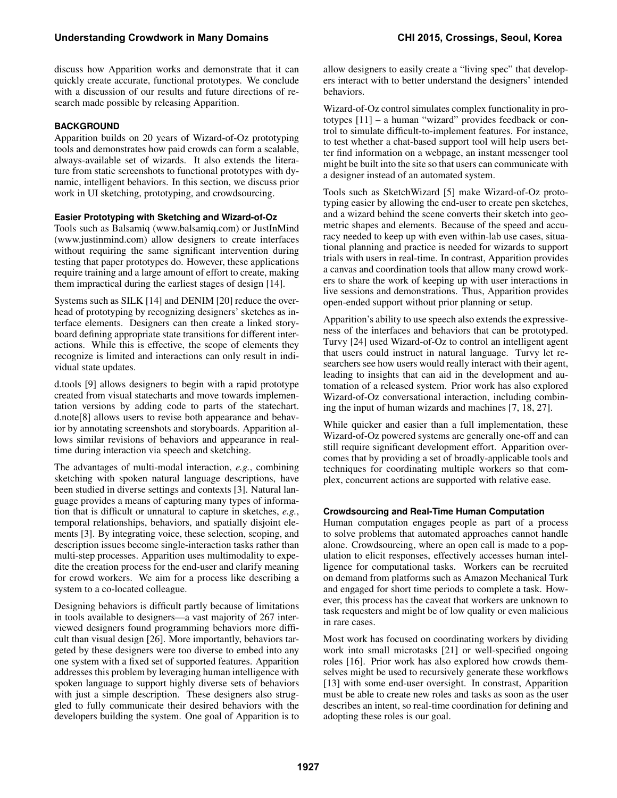discuss how Apparition works and demonstrate that it can quickly create accurate, functional prototypes. We conclude with a discussion of our results and future directions of research made possible by releasing Apparition.

# **BACKGROUND**

Apparition builds on 20 years of Wizard-of-Oz prototyping tools and demonstrates how paid crowds can form a scalable, always-available set of wizards. It also extends the literature from static screenshots to functional prototypes with dynamic, intelligent behaviors. In this section, we discuss prior work in UI sketching, prototyping, and crowdsourcing.

# **Easier Prototyping with Sketching and Wizard-of-Oz**

Tools such as Balsamiq (www.balsamiq.com) or JustInMind (www.justinmind.com) allow designers to create interfaces without requiring the same significant intervention during testing that paper prototypes do. However, these applications require training and a large amount of effort to create, making them impractical during the earliest stages of design [\[14\]](#page-9-1).

Systems such as SILK [\[14\]](#page-9-1) and DENIM [\[20\]](#page-9-2) reduce the overhead of prototyping by recognizing designers' sketches as interface elements. Designers can then create a linked storyboard defining appropriate state transitions for different interactions. While this is effective, the scope of elements they recognize is limited and interactions can only result in individual state updates.

d.tools [\[9\]](#page-9-3) allows designers to begin with a rapid prototype created from visual statecharts and move towards implementation versions by adding code to parts of the statechart. d.note[\[8\]](#page-9-4) allows users to revise both appearance and behavior by annotating screenshots and storyboards. Apparition allows similar revisions of behaviors and appearance in realtime during interaction via speech and sketching.

The advantages of multi-modal interaction, *e.g.*, combining sketching with spoken natural language descriptions, have been studied in diverse settings and contexts [\[3\]](#page-9-5). Natural language provides a means of capturing many types of information that is difficult or unnatural to capture in sketches, *e.g.*, temporal relationships, behaviors, and spatially disjoint elements [\[3\]](#page-9-5). By integrating voice, these selection, scoping, and description issues become single-interaction tasks rather than multi-step processes. Apparition uses multimodality to expedite the creation process for the end-user and clarify meaning for crowd workers. We aim for a process like describing a system to a co-located colleague.

Designing behaviors is difficult partly because of limitations in tools available to designers—a vast majority of 267 interviewed designers found programming behaviors more difficult than visual design [\[26\]](#page-9-6). More importantly, behaviors targeted by these designers were too diverse to embed into any one system with a fixed set of supported features. Apparition addresses this problem by leveraging human intelligence with spoken language to support highly diverse sets of behaviors with just a simple description. These designers also struggled to fully communicate their desired behaviors with the developers building the system. One goal of Apparition is to allow designers to easily create a "living spec" that developers interact with to better understand the designers' intended behaviors.

Wizard-of-Oz control simulates complex functionality in prototypes [\[11\]](#page-9-7) – a human "wizard" provides feedback or control to simulate difficult-to-implement features. For instance, to test whether a chat-based support tool will help users better find information on a webpage, an instant messenger tool might be built into the site so that users can communicate with a designer instead of an automated system.

Tools such as SketchWizard [\[5\]](#page-9-8) make Wizard-of-Oz prototyping easier by allowing the end-user to create pen sketches, and a wizard behind the scene converts their sketch into geometric shapes and elements. Because of the speed and accuracy needed to keep up with even within-lab use cases, situational planning and practice is needed for wizards to support trials with users in real-time. In contrast, Apparition provides a canvas and coordination tools that allow many crowd workers to share the work of keeping up with user interactions in live sessions and demonstrations. Thus, Apparition provides open-ended support without prior planning or setup.

Apparition's ability to use speech also extends the expressiveness of the interfaces and behaviors that can be prototyped. Turvy [\[24\]](#page-9-9) used Wizard-of-Oz to control an intelligent agent that users could instruct in natural language. Turvy let researchers see how users would really interact with their agent, leading to insights that can aid in the development and automation of a released system. Prior work has also explored Wizard-of-Oz conversational interaction, including combining the input of human wizards and machines [\[7,](#page-9-10) [18,](#page-9-11) [27\]](#page-9-12).

While quicker and easier than a full implementation, these Wizard-of-Oz powered systems are generally one-off and can still require significant development effort. Apparition overcomes that by providing a set of broadly-applicable tools and techniques for coordinating multiple workers so that complex, concurrent actions are supported with relative ease.

# **Crowdsourcing and Real-Time Human Computation**

Human computation engages people as part of a process to solve problems that automated approaches cannot handle alone. Crowdsourcing, where an open call is made to a population to elicit responses, effectively accesses human intelligence for computational tasks. Workers can be recruited on demand from platforms such as Amazon Mechanical Turk and engaged for short time periods to complete a task. However, this process has the caveat that workers are unknown to task requesters and might be of low quality or even malicious in rare cases.

Most work has focused on coordinating workers by dividing work into small microtasks [\[21\]](#page-9-13) or well-specified ongoing roles [\[16\]](#page-9-14). Prior work has also explored how crowds themselves might be used to recursively generate these workflows [\[13\]](#page-9-15) with some end-user oversight. In constrast, Apparition must be able to create new roles and tasks as soon as the user describes an intent, so real-time coordination for defining and adopting these roles is our goal.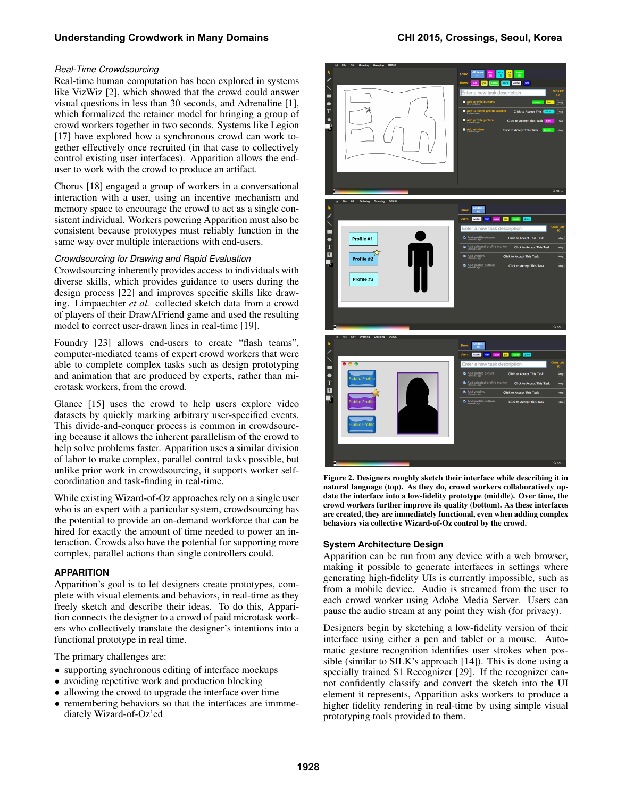# **Understanding Crowdwork in Many Domains CHI 2015, Crossings, Seoul, Korea**

## *Real-Time Crowdsourcing*

Real-time human computation has been explored in systems like VizWiz [\[2\]](#page-9-16), which showed that the crowd could answer visual questions in less than 30 seconds, and Adrenaline [\[1\]](#page-9-17), which formalized the retainer model for bringing a group of crowd workers together in two seconds. Systems like Legion [\[17\]](#page-9-18) have explored how a synchronous crowd can work together effectively once recruited (in that case to collectively control existing user interfaces). Apparition allows the enduser to work with the crowd to produce an artifact.

Chorus [\[18\]](#page-9-11) engaged a group of workers in a conversational interaction with a user, using an incentive mechanism and memory space to encourage the crowd to act as a single consistent individual. Workers powering Apparition must also be consistent because prototypes must reliably function in the same way over multiple interactions with end-users.

## *Crowdsourcing for Drawing and Rapid Evaluation*

Crowdsourcing inherently provides access to individuals with diverse skills, which provides guidance to users during the design process [\[22\]](#page-9-19) and improves specific skills like drawing. Limpaechter *et al.* collected sketch data from a crowd of players of their DrawAFriend game and used the resulting model to correct user-drawn lines in real-time [\[19\]](#page-9-20).

Foundry [\[23\]](#page-9-21) allows end-users to create "flash teams", computer-mediated teams of expert crowd workers that were able to complete complex tasks such as design prototyping and animation that are produced by experts, rather than microtask workers, from the crowd.

Glance [\[15\]](#page-9-22) uses the crowd to help users explore video datasets by quickly marking arbitrary user-specified events. This divide-and-conquer process is common in crowdsourcing because it allows the inherent parallelism of the crowd to help solve problems faster. Apparition uses a similar division of labor to make complex, parallel control tasks possible, but unlike prior work in crowdsourcing, it supports worker selfcoordination and task-finding in real-time.

While existing Wizard-of-Oz approaches rely on a single user who is an expert with a particular system, crowdsourcing has the potential to provide an on-demand workforce that can be hired for exactly the amount of time needed to power an interaction. Crowds also have the potential for supporting more complex, parallel actions than single controllers could.

# **APPARITION**

Apparition's goal is to let designers create prototypes, complete with visual elements and behaviors, in real-time as they freely sketch and describe their ideas. To do this, Apparition connects the designer to a crowd of paid microtask workers who collectively translate the designer's intentions into a functional prototype in real time.

The primary challenges are:

- supporting synchronous editing of interface mockups
- avoiding repetitive work and production blocking
- allowing the crowd to upgrade the interface over time
- remembering behaviors so that the interfaces are immmediately Wizard-of-Oz'ed



Figure 2. Designers roughly sketch their interface while describing it in natural language (top). As they do, crowd workers collaboratively update the interface into a low-fidelity prototype (middle). Over time, the crowd workers further improve its quality (bottom). As these interfaces are created, they are immediately functional, even when adding complex behaviors via collective Wizard-of-Oz control by the crowd.

#### <span id="page-3-0"></span>**System Architecture Design**

Apparition can be run from any device with a web browser, making it possible to generate interfaces in settings where generating high-fidelity UIs is currently impossible, such as from a mobile device. Audio is streamed from the user to each crowd worker using Adobe Media Server. Users can pause the audio stream at any point they wish (for privacy).

Designers begin by sketching a low-fidelity version of their interface using either a pen and tablet or a mouse. Automatic gesture recognition identifies user strokes when possible (similar to SILK's approach [\[14\]](#page-9-1)). This is done using a specially trained \$1 Recognizer [\[29\]](#page-9-23). If the recognizer cannot confidently classify and convert the sketch into the UI element it represents, Apparition asks workers to produce a higher fidelity rendering in real-time by using simple visual prototyping tools provided to them.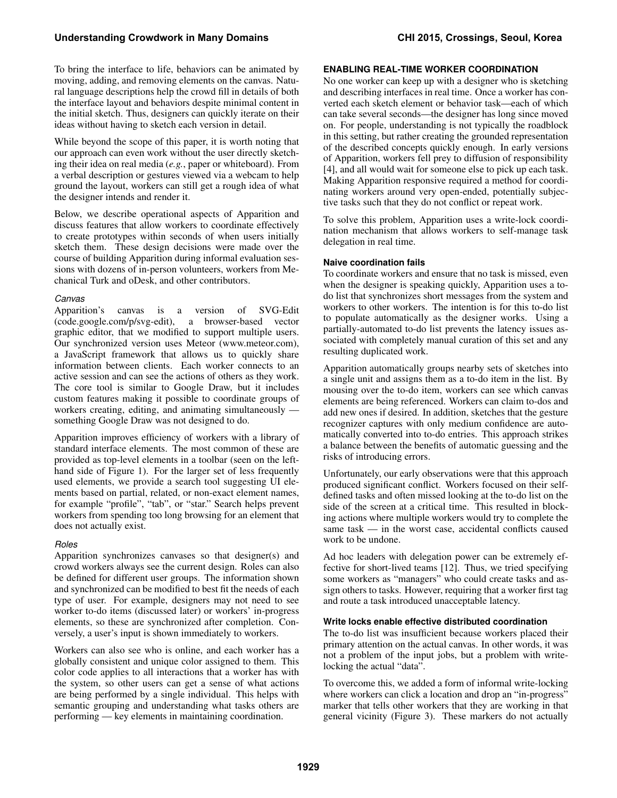To bring the interface to life, behaviors can be animated by moving, adding, and removing elements on the canvas. Natural language descriptions help the crowd fill in details of both the interface layout and behaviors despite minimal content in the initial sketch. Thus, designers can quickly iterate on their ideas without having to sketch each version in detail.

While beyond the scope of this paper, it is worth noting that our approach can even work without the user directly sketching their idea on real media (*e.g.*, paper or whiteboard). From a verbal description or gestures viewed via a webcam to help ground the layout, workers can still get a rough idea of what the designer intends and render it.

Below, we describe operational aspects of Apparition and discuss features that allow workers to coordinate effectively to create prototypes within seconds of when users initially sketch them. These design decisions were made over the course of building Apparition during informal evaluation sessions with dozens of in-person volunteers, workers from Mechanical Turk and oDesk, and other contributors.

# *Canvas*

Apparition's canvas is a version of SVG-Edit (code.google.com/p/svg-edit), a browser-based vector graphic editor, that we modified to support multiple users. Our synchronized version uses Meteor (www.meteor.com), a JavaScript framework that allows us to quickly share information between clients. Each worker connects to an active session and can see the actions of others as they work. The core tool is similar to Google Draw, but it includes custom features making it possible to coordinate groups of workers creating, editing, and animating simultaneously something Google Draw was not designed to do.

Apparition improves efficiency of workers with a library of standard interface elements. The most common of these are provided as top-level elements in a toolbar (seen on the lefthand side of Figure [1\)](#page-1-0). For the larger set of less frequently used elements, we provide a search tool suggesting UI elements based on partial, related, or non-exact element names, for example "profile", "tab", or "star." Search helps prevent workers from spending too long browsing for an element that does not actually exist.

# *Roles*

Apparition synchronizes canvases so that designer(s) and crowd workers always see the current design. Roles can also be defined for different user groups. The information shown and synchronized can be modified to best fit the needs of each type of user. For example, designers may not need to see worker to-do items (discussed later) or workers' in-progress elements, so these are synchronized after completion. Conversely, a user's input is shown immediately to workers.

Workers can also see who is online, and each worker has a globally consistent and unique color assigned to them. This color code applies to all interactions that a worker has with the system, so other users can get a sense of what actions are being performed by a single individual. This helps with semantic grouping and understanding what tasks others are performing — key elements in maintaining coordination.

# **ENABLING REAL-TIME WORKER COORDINATION**

No one worker can keep up with a designer who is sketching and describing interfaces in real time. Once a worker has converted each sketch element or behavior task—each of which can take several seconds—the designer has long since moved on. For people, understanding is not typically the roadblock in this setting, but rather creating the grounded representation of the described concepts quickly enough. In early versions of Apparition, workers fell prey to diffusion of responsibility [\[4\]](#page-9-24), and all would wait for someone else to pick up each task. Making Apparition responsive required a method for coordinating workers around very open-ended, potentially subjective tasks such that they do not conflict or repeat work.

To solve this problem, Apparition uses a write-lock coordination mechanism that allows workers to self-manage task delegation in real time.

# **Naive coordination fails**

To coordinate workers and ensure that no task is missed, even when the designer is speaking quickly, Apparition uses a todo list that synchronizes short messages from the system and workers to other workers. The intention is for this to-do list to populate automatically as the designer works. Using a partially-automated to-do list prevents the latency issues associated with completely manual curation of this set and any resulting duplicated work.

Apparition automatically groups nearby sets of sketches into a single unit and assigns them as a to-do item in the list. By mousing over the to-do item, workers can see which canvas elements are being referenced. Workers can claim to-dos and add new ones if desired. In addition, sketches that the gesture recognizer captures with only medium confidence are automatically converted into to-do entries. This approach strikes a balance between the benefits of automatic guessing and the risks of introducing errors.

Unfortunately, our early observations were that this approach produced significant conflict. Workers focused on their selfdefined tasks and often missed looking at the to-do list on the side of the screen at a critical time. This resulted in blocking actions where multiple workers would try to complete the same task — in the worst case, accidental conflicts caused work to be undone.

Ad hoc leaders with delegation power can be extremely effective for short-lived teams [\[12\]](#page-9-25). Thus, we tried specifying some workers as "managers" who could create tasks and assign others to tasks. However, requiring that a worker first tag and route a task introduced unacceptable latency.

# **Write locks enable effective distributed coordination**

The to-do list was insufficient because workers placed their primary attention on the actual canvas. In other words, it was not a problem of the input jobs, but a problem with writelocking the actual "data".

To overcome this, we added a form of informal write-locking where workers can click a location and drop an "in-progress" marker that tells other workers that they are working in that general vicinity (Figure [3\)](#page-5-0). These markers do not actually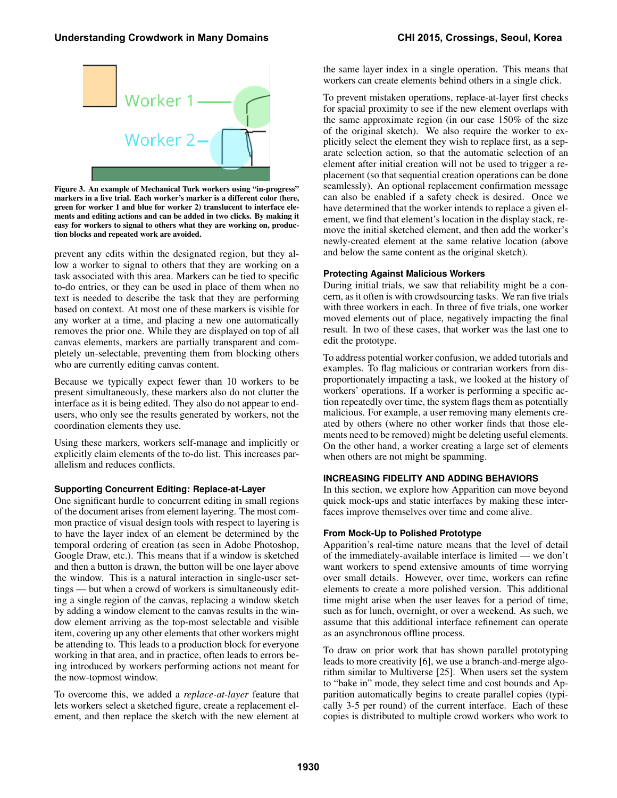

<span id="page-5-0"></span>Figure 3. An example of Mechanical Turk workers using "in-progress" markers in a live trial. Each worker's marker is a different color (here, green for worker 1 and blue for worker 2) translucent to interface elements and editing actions and can be added in two clicks. By making it easy for workers to signal to others what they are working on, production blocks and repeated work are avoided.

prevent any edits within the designated region, but they allow a worker to signal to others that they are working on a task associated with this area. Markers can be tied to specific to-do entries, or they can be used in place of them when no text is needed to describe the task that they are performing based on context. At most one of these markers is visible for any worker at a time, and placing a new one automatically removes the prior one. While they are displayed on top of all canvas elements, markers are partially transparent and completely un-selectable, preventing them from blocking others who are currently editing canvas content.

Because we typically expect fewer than 10 workers to be present simultaneously, these markers also do not clutter the interface as it is being edited. They also do not appear to endusers, who only see the results generated by workers, not the coordination elements they use.

Using these markers, workers self-manage and implicitly or explicitly claim elements of the to-do list. This increases parallelism and reduces conflicts.

#### **Supporting Concurrent Editing: Replace-at-Layer**

One significant hurdle to concurrent editing in small regions of the document arises from element layering. The most common practice of visual design tools with respect to layering is to have the layer index of an element be determined by the temporal ordering of creation (as seen in Adobe Photoshop, Google Draw, etc.). This means that if a window is sketched and then a button is drawn, the button will be one layer above the window. This is a natural interaction in single-user settings — but when a crowd of workers is simultaneously editing a single region of the canvas, replacing a window sketch by adding a window element to the canvas results in the window element arriving as the top-most selectable and visible item, covering up any other elements that other workers might be attending to. This leads to a production block for everyone working in that area, and in practice, often leads to errors being introduced by workers performing actions not meant for the now-topmost window.

To overcome this, we added a *replace-at-layer* feature that lets workers select a sketched figure, create a replacement element, and then replace the sketch with the new element at the same layer index in a single operation. This means that workers can create elements behind others in a single click.

To prevent mistaken operations, replace-at-layer first checks for spacial proximity to see if the new element overlaps with the same approximate region (in our case 150% of the size of the original sketch). We also require the worker to explicitly select the element they wish to replace first, as a separate selection action, so that the automatic selection of an element after initial creation will not be used to trigger a replacement (so that sequential creation operations can be done seamlessly). An optional replacement confirmation message can also be enabled if a safety check is desired. Once we have determined that the worker intends to replace a given element, we find that element's location in the display stack, remove the initial sketched element, and then add the worker's newly-created element at the same relative location (above and below the same content as the original sketch).

## **Protecting Against Malicious Workers**

During initial trials, we saw that reliability might be a concern, as it often is with crowdsourcing tasks. We ran five trials with three workers in each. In three of five trials, one worker moved elements out of place, negatively impacting the final result. In two of these cases, that worker was the last one to edit the prototype.

To address potential worker confusion, we added tutorials and examples. To flag malicious or contrarian workers from disproportionately impacting a task, we looked at the history of workers' operations. If a worker is performing a specific action repeatedly over time, the system flags them as potentially malicious. For example, a user removing many elements created by others (where no other worker finds that those elements need to be removed) might be deleting useful elements. On the other hand, a worker creating a large set of elements when others are not might be spamming.

## **INCREASING FIDELITY AND ADDING BEHAVIORS**

In this section, we explore how Apparition can move beyond quick mock-ups and static interfaces by making these interfaces improve themselves over time and come alive.

#### **From Mock-Up to Polished Prototype**

Apparition's real-time nature means that the level of detail of the immediately-available interface is limited — we don't want workers to spend extensive amounts of time worrying over small details. However, over time, workers can refine elements to create a more polished version. This additional time might arise when the user leaves for a period of time, such as for lunch, overnight, or over a weekend. As such, we assume that this additional interface refinement can operate as an asynchronous offline process.

To draw on prior work that has shown parallel prototyping leads to more creativity [\[6\]](#page-9-26), we use a branch-and-merge algorithm similar to Multiverse [\[25\]](#page-9-27). When users set the system to "bake in" mode, they select time and cost bounds and Apparition automatically begins to create parallel copies (typically 3-5 per round) of the current interface. Each of these copies is distributed to multiple crowd workers who work to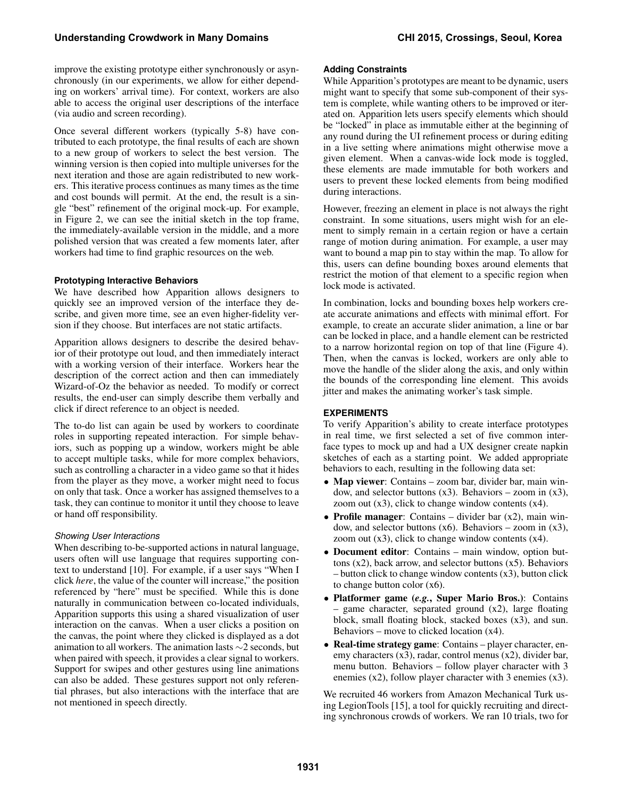improve the existing prototype either synchronously or asynchronously (in our experiments, we allow for either depending on workers' arrival time). For context, workers are also able to access the original user descriptions of the interface (via audio and screen recording).

Once several different workers (typically 5-8) have contributed to each prototype, the final results of each are shown to a new group of workers to select the best version. The winning version is then copied into multiple universes for the next iteration and those are again redistributed to new workers. This iterative process continues as many times as the time and cost bounds will permit. At the end, the result is a single "best" refinement of the original mock-up. For example, in Figure [2,](#page-3-0) we can see the initial sketch in the top frame, the immediately-available version in the middle, and a more polished version that was created a few moments later, after workers had time to find graphic resources on the web.

# **Prototyping Interactive Behaviors**

We have described how Apparition allows designers to quickly see an improved version of the interface they describe, and given more time, see an even higher-fidelity version if they choose. But interfaces are not static artifacts.

Apparition allows designers to describe the desired behavior of their prototype out loud, and then immediately interact with a working version of their interface. Workers hear the description of the correct action and then can immediately Wizard-of-Oz the behavior as needed. To modify or correct results, the end-user can simply describe them verbally and click if direct reference to an object is needed.

The to-do list can again be used by workers to coordinate roles in supporting repeated interaction. For simple behaviors, such as popping up a window, workers might be able to accept multiple tasks, while for more complex behaviors, such as controlling a character in a video game so that it hides from the player as they move, a worker might need to focus on only that task. Once a worker has assigned themselves to a task, they can continue to monitor it until they choose to leave or hand off responsibility.

# *Showing User Interactions*

When describing to-be-supported actions in natural language, users often will use language that requires supporting context to understand [\[10\]](#page-9-28). For example, if a user says "When I click *here*, the value of the counter will increase," the position referenced by "here" must be specified. While this is done naturally in communication between co-located individuals, Apparition supports this using a shared visualization of user interaction on the canvas. When a user clicks a position on the canvas, the point where they clicked is displayed as a dot animation to all workers. The animation lasts ∼2 seconds, but when paired with speech, it provides a clear signal to workers. Support for swipes and other gestures using line animations can also be added. These gestures support not only referential phrases, but also interactions with the interface that are not mentioned in speech directly.

# **Adding Constraints**

While Apparition's prototypes are meant to be dynamic, users might want to specify that some sub-component of their system is complete, while wanting others to be improved or iterated on. Apparition lets users specify elements which should be "locked" in place as immutable either at the beginning of any round during the UI refinement process or during editing in a live setting where animations might otherwise move a given element. When a canvas-wide lock mode is toggled, these elements are made immutable for both workers and users to prevent these locked elements from being modified during interactions.

However, freezing an element in place is not always the right constraint. In some situations, users might wish for an element to simply remain in a certain region or have a certain range of motion during animation. For example, a user may want to bound a map pin to stay within the map. To allow for this, users can define bounding boxes around elements that restrict the motion of that element to a specific region when lock mode is activated.

In combination, locks and bounding boxes help workers create accurate animations and effects with minimal effort. For example, to create an accurate slider animation, a line or bar can be locked in place, and a handle element can be restricted to a narrow horizontal region on top of that line (Figure [4\)](#page-7-0). Then, when the canvas is locked, workers are only able to move the handle of the slider along the axis, and only within the bounds of the corresponding line element. This avoids jitter and makes the animating worker's task simple.

# **EXPERIMENTS**

To verify Apparition's ability to create interface prototypes in real time, we first selected a set of five common interface types to mock up and had a UX designer create napkin sketches of each as a starting point. We added appropriate behaviors to each, resulting in the following data set:

- Map viewer: Contains zoom bar, divider bar, main window, and selector buttons  $(x3)$ . Behaviors – zoom in  $(x3)$ , zoom out  $(x3)$ , click to change window contents  $(x4)$ .
- Profile manager: Contains divider bar  $(x2)$ , main window, and selector buttons  $(x6)$ . Behaviors – zoom in  $(x3)$ , zoom out  $(x3)$ , click to change window contents  $(x4)$ .
- Document editor: Contains main window, option buttons  $(x2)$ , back arrow, and selector buttons  $(x5)$ . Behaviors – button click to change window contents (x3), button click to change button color (x6).
- Platformer game (*e.g.*, Super Mario Bros.): Contains  $-$  game character, separated ground  $(x2)$ , large floating block, small floating block, stacked boxes (x3), and sun. Behaviors – move to clicked location (x4).
- Real-time strategy game: Contains player character, enemy characters (x3), radar, control menus (x2), divider bar, menu button. Behaviors – follow player character with 3 enemies  $(x2)$ , follow player character with 3 enemies  $(x3)$ .

We recruited 46 workers from Amazon Mechanical Turk using LegionTools [\[15\]](#page-9-22), a tool for quickly recruiting and directing synchronous crowds of workers. We ran 10 trials, two for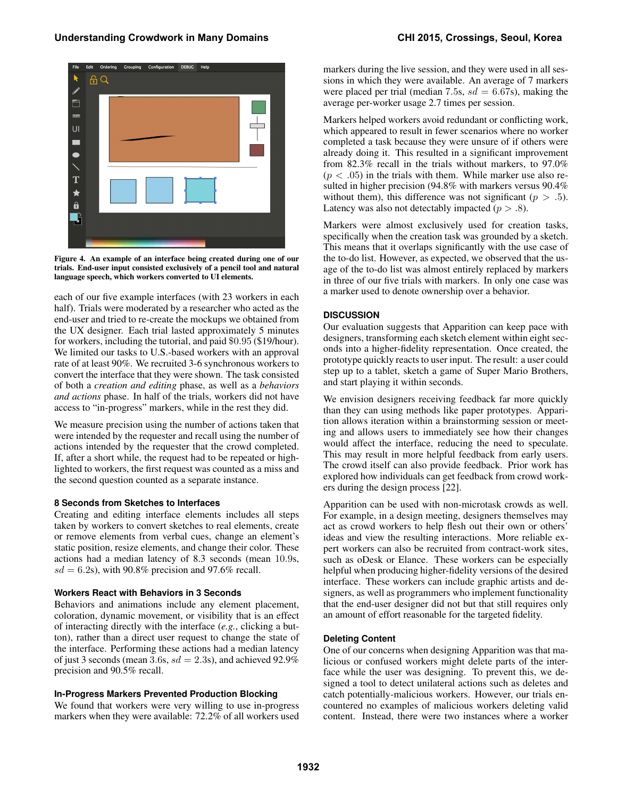

<span id="page-7-0"></span>Figure 4. An example of an interface being created during one of our trials. End-user input consisted exclusively of a pencil tool and natural language speech, which workers converted to UI elements.

each of our five example interfaces (with 23 workers in each half). Trials were moderated by a researcher who acted as the end-user and tried to re-create the mockups we obtained from the UX designer. Each trial lasted approximately 5 minutes for workers, including the tutorial, and paid \$0.95 (\$19/hour). We limited our tasks to U.S.-based workers with an approval rate of at least 90%. We recruited 3-6 synchronous workers to convert the interface that they were shown. The task consisted of both a *creation and editing* phase, as well as a *behaviors and actions* phase. In half of the trials, workers did not have access to "in-progress" markers, while in the rest they did.

We measure precision using the number of actions taken that were intended by the requester and recall using the number of actions intended by the requester that the crowd completed. If, after a short while, the request had to be repeated or highlighted to workers, the first request was counted as a miss and the second question counted as a separate instance.

#### **8 Seconds from Sketches to Interfaces**

Creating and editing interface elements includes all steps taken by workers to convert sketches to real elements, create or remove elements from verbal cues, change an element's static position, resize elements, and change their color. These actions had a median latency of 8.3 seconds (mean 10.9s,  $sd = 6.2$ s), with 90.8% precision and 97.6% recall.

# **Workers React with Behaviors in 3 Seconds**

Behaviors and animations include any element placement, coloration, dynamic movement, or visibility that is an effect of interacting directly with the interface (*e.g.*, clicking a button), rather than a direct user request to change the state of the interface. Performing these actions had a median latency of just 3 seconds (mean 3.6s,  $sd = 2.3$ s), and achieved 92.9% precision and 90.5% recall.

## **In-Progress Markers Prevented Production Blocking**

We found that workers were very willing to use in-progress markers when they were available: 72.2% of all workers used markers during the live session, and they were used in all sessions in which they were available. An average of 7 markers were placed per trial (median 7.5s,  $sd = 6.67$ s), making the average per-worker usage 2.7 times per session.

Markers helped workers avoid redundant or conflicting work, which appeared to result in fewer scenarios where no worker completed a task because they were unsure of if others were already doing it. This resulted in a significant improvement from 82.3% recall in the trials without markers, to 97.0%  $(p < .05)$  in the trials with them. While marker use also resulted in higher precision (94.8% with markers versus 90.4% without them), this difference was not significant ( $p > .5$ ). Latency was also not detectably impacted  $(p > .8)$ .

Markers were almost exclusively used for creation tasks, specifically when the creation task was grounded by a sketch. This means that it overlaps significantly with the use case of the to-do list. However, as expected, we observed that the usage of the to-do list was almost entirely replaced by markers in three of our five trials with markers. In only one case was a marker used to denote ownership over a behavior.

# **DISCUSSION**

Our evaluation suggests that Apparition can keep pace with designers, transforming each sketch element within eight seconds into a higher-fidelity representation. Once created, the prototype quickly reacts to user input. The result: a user could step up to a tablet, sketch a game of Super Mario Brothers, and start playing it within seconds.

We envision designers receiving feedback far more quickly than they can using methods like paper prototypes. Apparition allows iteration within a brainstorming session or meeting and allows users to immediately see how their changes would affect the interface, reducing the need to speculate. This may result in more helpful feedback from early users. The crowd itself can also provide feedback. Prior work has explored how individuals can get feedback from crowd workers during the design process [\[22\]](#page-9-19).

Apparition can be used with non-microtask crowds as well. For example, in a design meeting, designers themselves may act as crowd workers to help flesh out their own or others' ideas and view the resulting interactions. More reliable expert workers can also be recruited from contract-work sites, such as oDesk or Elance. These workers can be especially helpful when producing higher-fidelity versions of the desired interface. These workers can include graphic artists and designers, as well as programmers who implement functionality that the end-user designer did not but that still requires only an amount of effort reasonable for the targeted fidelity.

# **Deleting Content**

One of our concerns when designing Apparition was that malicious or confused workers might delete parts of the interface while the user was designing. To prevent this, we designed a tool to detect unilateral actions such as deletes and catch potentially-malicious workers. However, our trials encountered no examples of malicious workers deleting valid content. Instead, there were two instances where a worker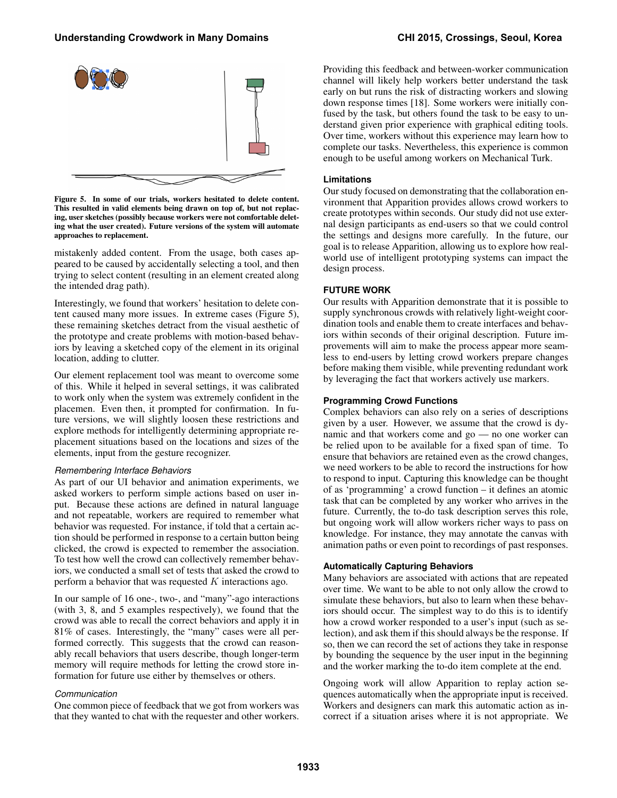

<span id="page-8-0"></span>Figure 5. In some of our trials, workers hesitated to delete content. This resulted in valid elements being drawn on top of, but not replacing, user sketches (possibly because workers were not comfortable deleting what the user created). Future versions of the system will automate approaches to replacement.

mistakenly added content. From the usage, both cases appeared to be caused by accidentally selecting a tool, and then trying to select content (resulting in an element created along the intended drag path).

Interestingly, we found that workers' hesitation to delete content caused many more issues. In extreme cases (Figure [5\)](#page-8-0), these remaining sketches detract from the visual aesthetic of the prototype and create problems with motion-based behaviors by leaving a sketched copy of the element in its original location, adding to clutter.

Our element replacement tool was meant to overcome some of this. While it helped in several settings, it was calibrated to work only when the system was extremely confident in the placemen. Even then, it prompted for confirmation. In future versions, we will slightly loosen these restrictions and explore methods for intelligently determining appropriate replacement situations based on the locations and sizes of the elements, input from the gesture recognizer.

# *Remembering Interface Behaviors*

As part of our UI behavior and animation experiments, we asked workers to perform simple actions based on user input. Because these actions are defined in natural language and not repeatable, workers are required to remember what behavior was requested. For instance, if told that a certain action should be performed in response to a certain button being clicked, the crowd is expected to remember the association. To test how well the crowd can collectively remember behaviors, we conducted a small set of tests that asked the crowd to perform a behavior that was requested  $K$  interactions ago.

In our sample of 16 one-, two-, and "many"-ago interactions (with 3, 8, and 5 examples respectively), we found that the crowd was able to recall the correct behaviors and apply it in 81% of cases. Interestingly, the "many" cases were all performed correctly. This suggests that the crowd can reasonably recall behaviors that users describe, though longer-term memory will require methods for letting the crowd store information for future use either by themselves or others.

#### *Communication*

One common piece of feedback that we got from workers was that they wanted to chat with the requester and other workers.

Providing this feedback and between-worker communication channel will likely help workers better understand the task early on but runs the risk of distracting workers and slowing down response times [\[18\]](#page-9-11). Some workers were initially confused by the task, but others found the task to be easy to understand given prior experience with graphical editing tools. Over time, workers without this experience may learn how to complete our tasks. Nevertheless, this experience is common enough to be useful among workers on Mechanical Turk.

## **Limitations**

Our study focused on demonstrating that the collaboration environment that Apparition provides allows crowd workers to create prototypes within seconds. Our study did not use external design participants as end-users so that we could control the settings and designs more carefully. In the future, our goal is to release Apparition, allowing us to explore how realworld use of intelligent prototyping systems can impact the design process.

# **FUTURE WORK**

Our results with Apparition demonstrate that it is possible to supply synchronous crowds with relatively light-weight coordination tools and enable them to create interfaces and behaviors within seconds of their original description. Future improvements will aim to make the process appear more seamless to end-users by letting crowd workers prepare changes before making them visible, while preventing redundant work by leveraging the fact that workers actively use markers.

#### **Programming Crowd Functions**

Complex behaviors can also rely on a series of descriptions given by a user. However, we assume that the crowd is dynamic and that workers come and go — no one worker can be relied upon to be available for a fixed span of time. To ensure that behaviors are retained even as the crowd changes, we need workers to be able to record the instructions for how to respond to input. Capturing this knowledge can be thought of as 'programming' a crowd function – it defines an atomic task that can be completed by any worker who arrives in the future. Currently, the to-do task description serves this role, but ongoing work will allow workers richer ways to pass on knowledge. For instance, they may annotate the canvas with animation paths or even point to recordings of past responses.

# **Automatically Capturing Behaviors**

Many behaviors are associated with actions that are repeated over time. We want to be able to not only allow the crowd to simulate these behaviors, but also to learn when these behaviors should occur. The simplest way to do this is to identify how a crowd worker responded to a user's input (such as selection), and ask them if this should always be the response. If so, then we can record the set of actions they take in response by bounding the sequence by the user input in the beginning and the worker marking the to-do item complete at the end.

Ongoing work will allow Apparition to replay action sequences automatically when the appropriate input is received. Workers and designers can mark this automatic action as incorrect if a situation arises where it is not appropriate. We